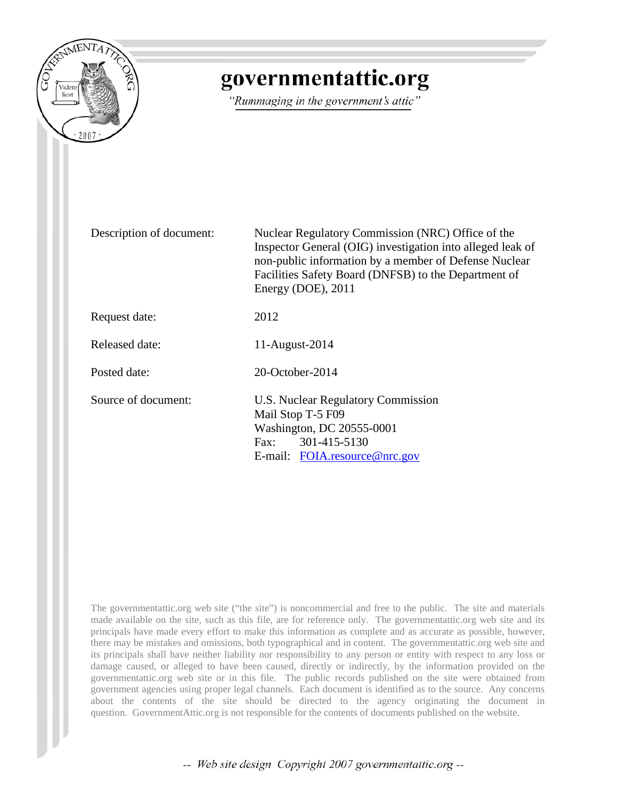

# governmentattic.org

"Rummaging in the government's attic"

Description of document: Nuclear Regulatory Commission (NRC) Office of the Inspector General (OIG) investigation into alleged leak of non-public information by a member of Defense Nuclear Facilities Safety Board (DNFSB) to the Department of Energy (DOE), 2011 Request date: 2012 Released date: 11-August-2014 Posted date: 20-October-2014 Source of document: U.S. Nuclear Regulatory Commission Mail Stop T-5 F09 Washington, DC 20555-0001 Fax: 301-415-5130 E-mail: [FOIA.resource@nrc.gov](mailto:FOIA.resource@nrc.gov)

The governmentattic.org web site ("the site") is noncommercial and free to the public. The site and materials made available on the site, such as this file, are for reference only. The governmentattic.org web site and its principals have made every effort to make this information as complete and as accurate as possible, however, there may be mistakes and omissions, both typographical and in content. The governmentattic.org web site and its principals shall have neither liability nor responsibility to any person or entity with respect to any loss or damage caused, or alleged to have been caused, directly or indirectly, by the information provided on the governmentattic.org web site or in this file. The public records published on the site were obtained from government agencies using proper legal channels. Each document is identified as to the source. Any concerns about the contents of the site should be directed to the agency originating the document in question. GovernmentAttic.org is not responsible for the contents of documents published on the website.

-- Web site design Copyright 2007 governmentattic.org --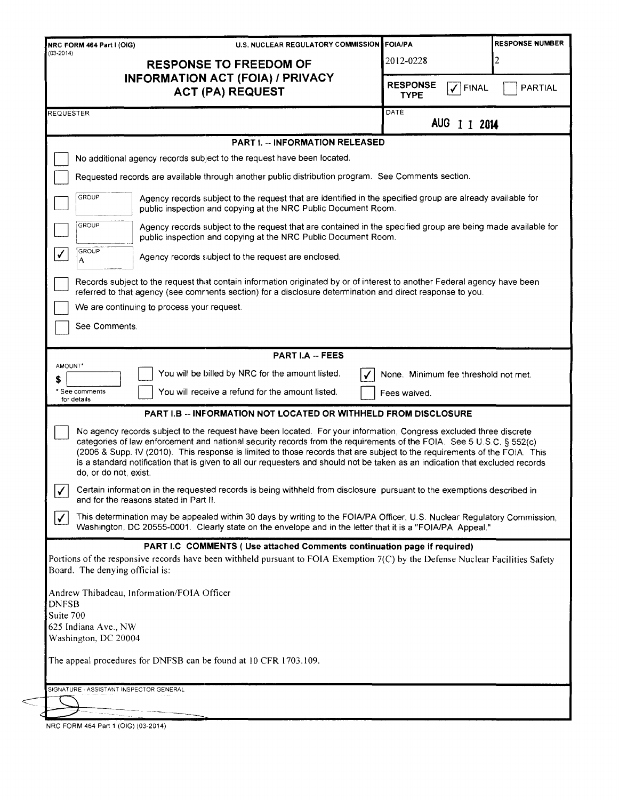| U.S. NUCLEAR REGULATORY COMMISSION FOIA/PA<br>NRC FORM 464 Part I (OIG)                                                                                                                                                                                                                                                                                                                                                                                                                                                           |                                      | <b>RESPONSE NUMBER</b>               |  |  |
|-----------------------------------------------------------------------------------------------------------------------------------------------------------------------------------------------------------------------------------------------------------------------------------------------------------------------------------------------------------------------------------------------------------------------------------------------------------------------------------------------------------------------------------|--------------------------------------|--------------------------------------|--|--|
| $(03 - 2014)$<br><b>RESPONSE TO FREEDOM OF</b><br>INFORMATION ACT (FOIA) / PRIVACY                                                                                                                                                                                                                                                                                                                                                                                                                                                | 2012-0228                            | 2                                    |  |  |
| <b>ACT (PA) REQUEST</b>                                                                                                                                                                                                                                                                                                                                                                                                                                                                                                           | <b>RESPONSE</b><br><b>TYPE</b>       | $\checkmark$ FINAL<br><b>PARTIAL</b> |  |  |
| REQUESTER                                                                                                                                                                                                                                                                                                                                                                                                                                                                                                                         | DATE<br>AUG 1 1 2014                 |                                      |  |  |
| <b>PART I. - INFORMATION RELEASED</b>                                                                                                                                                                                                                                                                                                                                                                                                                                                                                             |                                      |                                      |  |  |
| No additional agency records subject to the request have been located.                                                                                                                                                                                                                                                                                                                                                                                                                                                            |                                      |                                      |  |  |
| Requested records are available through another public distribution program. See Comments section.                                                                                                                                                                                                                                                                                                                                                                                                                                |                                      |                                      |  |  |
| GROUP<br>Agency records subject to the request that are identified in the specified group are already available for<br>public inspection and copying at the NRC Public Document Room.                                                                                                                                                                                                                                                                                                                                             |                                      |                                      |  |  |
| GROUP<br>Agency records subject to the request that are contained in the specified group are being made available for<br>public inspection and copying at the NRC Public Document Room.                                                                                                                                                                                                                                                                                                                                           |                                      |                                      |  |  |
| GROUP<br>$\checkmark$<br>Agency records subject to the request are enclosed.<br>А                                                                                                                                                                                                                                                                                                                                                                                                                                                 |                                      |                                      |  |  |
| Records subject to the request that contain information originated by or of interest to another Federal agency have been<br>referred to that agency (see comments section) for a disclosure determination and direct response to you.                                                                                                                                                                                                                                                                                             |                                      |                                      |  |  |
| We are continuing to process your request.                                                                                                                                                                                                                                                                                                                                                                                                                                                                                        |                                      |                                      |  |  |
| See Comments.                                                                                                                                                                                                                                                                                                                                                                                                                                                                                                                     |                                      |                                      |  |  |
|                                                                                                                                                                                                                                                                                                                                                                                                                                                                                                                                   |                                      |                                      |  |  |
| <b>PART I.A -- FEES</b><br>AMOUNT*                                                                                                                                                                                                                                                                                                                                                                                                                                                                                                |                                      |                                      |  |  |
| You will be billed by NRC for the amount listed.<br>\$                                                                                                                                                                                                                                                                                                                                                                                                                                                                            | None. Minimum fee threshold not met. |                                      |  |  |
| You will receive a refund for the amount listed.<br>* See comments<br>for details                                                                                                                                                                                                                                                                                                                                                                                                                                                 | Fees waived.                         |                                      |  |  |
| <b>PART I.B -- INFORMATION NOT LOCATED OR WITHHELD FROM DISCLOSURE</b>                                                                                                                                                                                                                                                                                                                                                                                                                                                            |                                      |                                      |  |  |
| No agency records subject to the request have been located. For your information, Congress excluded three discrete<br>categories of law enforcement and national security records from the requirements of the FOIA. See 5 U.S.C. § 552(c)<br>(2006 & Supp. IV (2010). This response is limited to those records that are subject to the requirements of the FOIA. This<br>is a standard notification that is given to all our requesters and should not be taken as an indication that excluded records<br>do, or do not, exist. |                                      |                                      |  |  |
| Certain information in the requested records is being withheld from disclosure pursuant to the exemptions described in<br>$\checkmark$<br>and for the reasons stated in Part II.                                                                                                                                                                                                                                                                                                                                                  |                                      |                                      |  |  |
| This determination may be appealed within 30 days by writing to the FOIA/PA Officer, U.S. Nuclear Regulatory Commission,<br>$\checkmark$<br>Washington, DC 20555-0001. Clearly state on the envelope and in the letter that it is a "FOIA/PA Appeal."                                                                                                                                                                                                                                                                             |                                      |                                      |  |  |
| PART I.C COMMENTS (Use attached Comments continuation page if required)                                                                                                                                                                                                                                                                                                                                                                                                                                                           |                                      |                                      |  |  |
| Portions of the responsive records have been withheld pursuant to FOIA Exemption 7(C) by the Defense Nuclear Facilities Safety<br>Board. The denying official is:                                                                                                                                                                                                                                                                                                                                                                 |                                      |                                      |  |  |
| Andrew Thibadeau, Information/FOIA Officer                                                                                                                                                                                                                                                                                                                                                                                                                                                                                        |                                      |                                      |  |  |
| <b>DNFSB</b>                                                                                                                                                                                                                                                                                                                                                                                                                                                                                                                      |                                      |                                      |  |  |
| Suite 700                                                                                                                                                                                                                                                                                                                                                                                                                                                                                                                         |                                      |                                      |  |  |
| 625 Indiana Ave., NW<br>Washington, DC 20004                                                                                                                                                                                                                                                                                                                                                                                                                                                                                      |                                      |                                      |  |  |
| The appeal procedures for DNFSB can be found at 10 CFR 1703.109.                                                                                                                                                                                                                                                                                                                                                                                                                                                                  |                                      |                                      |  |  |
| SIGNATURE - ASSISTANT INSPECTOR GENERAL                                                                                                                                                                                                                                                                                                                                                                                                                                                                                           |                                      |                                      |  |  |
|                                                                                                                                                                                                                                                                                                                                                                                                                                                                                                                                   |                                      |                                      |  |  |
|                                                                                                                                                                                                                                                                                                                                                                                                                                                                                                                                   |                                      |                                      |  |  |

NRC FORM 464 Part 1 (OIG) (03-2014)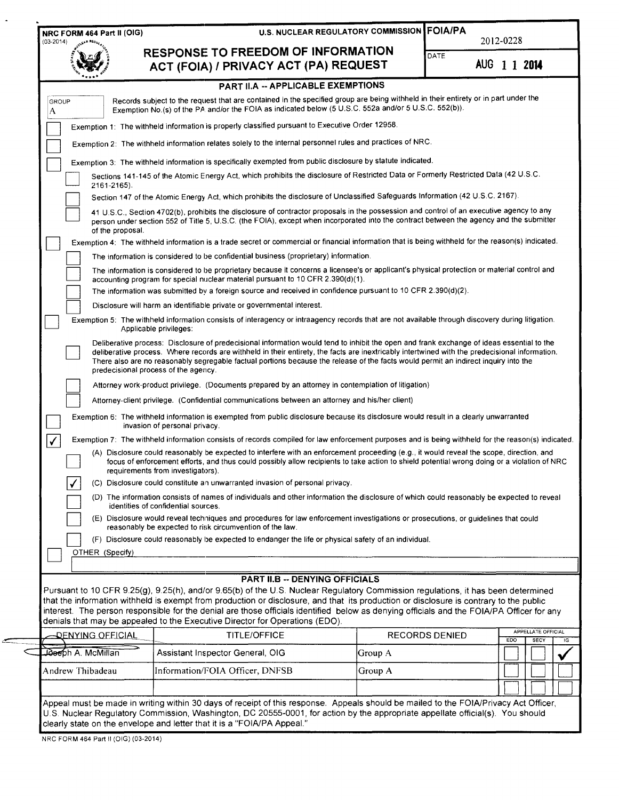| $(03-2014)$              |                                                                                                                                                                                                                                                                                                                                                                                                                                                                                                                                                                    | <b>U.S. NUCLEAR REGULATORY COMMISSION FOIA/PA</b> |                       | 2012-0228    |                            |
|--------------------------|--------------------------------------------------------------------------------------------------------------------------------------------------------------------------------------------------------------------------------------------------------------------------------------------------------------------------------------------------------------------------------------------------------------------------------------------------------------------------------------------------------------------------------------------------------------------|---------------------------------------------------|-----------------------|--------------|----------------------------|
|                          | RESPONSE TO FREEDOM OF INFORMATION<br>ACT (FOIA) / PRIVACY ACT (PA) REQUEST                                                                                                                                                                                                                                                                                                                                                                                                                                                                                        |                                                   | DATE                  | AUG 1 1 2014 |                            |
|                          | PART II.A -- APPLICABLE EXEMPTIONS                                                                                                                                                                                                                                                                                                                                                                                                                                                                                                                                 |                                                   |                       |              |                            |
| <b>GROUP</b><br>A        | Records subject to the request that are contained in the specified group are being withheld in their entirety or in part under the<br>Exemption No.(s) of the PA and/or the FOIA as indicated below (5 U.S.C. 552a and/or 5 U.S.C. 552(b)).                                                                                                                                                                                                                                                                                                                        |                                                   |                       |              |                            |
|                          | Exemption 1: The withheld information is properly classified pursuant to Executive Order 12958.                                                                                                                                                                                                                                                                                                                                                                                                                                                                    |                                                   |                       |              |                            |
|                          | Exemption 2: The withheld information relates solely to the internal personnel rules and practices of NRC.                                                                                                                                                                                                                                                                                                                                                                                                                                                         |                                                   |                       |              |                            |
|                          | Exemption 3: The withheld information is specifically exempted from public disclosure by statute indicated.                                                                                                                                                                                                                                                                                                                                                                                                                                                        |                                                   |                       |              |                            |
| $2161 - 2165$ ).         | Sections 141-145 of the Atomic Energy Act, which prohibits the disclosure of Restricted Data or Formerly Restricted Data (42 U.S.C.                                                                                                                                                                                                                                                                                                                                                                                                                                |                                                   |                       |              |                            |
|                          | Section 147 of the Atomic Energy Act, which prohibits the disclosure of Unclassified Safeguards Information (42 U.S.C. 2167).                                                                                                                                                                                                                                                                                                                                                                                                                                      |                                                   |                       |              |                            |
| of the proposal.         | 41 U.S.C., Section 4702(b), prohibits the disclosure of contractor proposals in the possession and control of an executive agency to any<br>person under section 552 of Title 5, U.S.C. (the FOIA), except when incorporated into the contract between the agency and the submitter                                                                                                                                                                                                                                                                                |                                                   |                       |              |                            |
|                          | Exemption 4: The withheld information is a trade secret or commercial or financial information that is being withheld for the reason(s) indicated.                                                                                                                                                                                                                                                                                                                                                                                                                 |                                                   |                       |              |                            |
|                          | The information is considered to be confidential business (proprietary) information.                                                                                                                                                                                                                                                                                                                                                                                                                                                                               |                                                   |                       |              |                            |
|                          | The information is considered to be proprietary because it concerns a licensee's or applicant's physical protection or material control and<br>accounting program for special nuclear material pursuant to 10 CFR 2.390(d)(1).                                                                                                                                                                                                                                                                                                                                     |                                                   |                       |              |                            |
|                          | The information was submitted by a foreign source and received in confidence pursuant to 10 CFR 2.390(d)(2).                                                                                                                                                                                                                                                                                                                                                                                                                                                       |                                                   |                       |              |                            |
|                          | Disclosure will harm an identifiable private or governmental interest.                                                                                                                                                                                                                                                                                                                                                                                                                                                                                             |                                                   |                       |              |                            |
|                          | Exemption 5: The withheld information consists of interagency or intraagency records that are not available through discovery during litigation.<br>Applicable privileges:                                                                                                                                                                                                                                                                                                                                                                                         |                                                   |                       |              |                            |
|                          | Deliberative process: Disclosure of predecisional information would tend to inhibit the open and frank exchange of ideas essential to the<br>deliberative process. Where records are withheld in their entirety, the facts are inextricably intertwined with the predecisional information.<br>There also are no reasonably segregable factual portions because the release of the facts would permit an indirect inquiry into the<br>predecisional process of the agency.                                                                                         |                                                   |                       |              |                            |
|                          | Attorney work-product privilege. (Documents prepared by an attorney in contemplation of litigation)                                                                                                                                                                                                                                                                                                                                                                                                                                                                |                                                   |                       |              |                            |
|                          | Attorney-client privilege. (Confidential communications between an attorney and his/her client)                                                                                                                                                                                                                                                                                                                                                                                                                                                                    |                                                   |                       |              |                            |
|                          | Exemption 6: The withheld information is exempted from public disclosure because its disclosure would result in a clearly unwarranted<br>invasion of personal privacy.                                                                                                                                                                                                                                                                                                                                                                                             |                                                   |                       |              |                            |
| $\checkmark$             | Exemption 7: The withheld information consists of records compiled for law enforcement purposes and is being withheld for the reason(s) indicated.<br>(A) Disclosure could reasonably be expected to interfere with an enforcement proceeding (e.g., it would reveal the scope, direction, and<br>focus of enforcement efforts, and thus could possibly allow recipients to take action to shield potential wrong doing or a violation of NRC<br>requirements from investigators).<br>(C) Disclosure could constitute an unwarranted invasion of personal privacy. |                                                   |                       |              |                            |
|                          | (D) The information consists of names of individuals and other information the disclosure of which could reasonably be expected to reveal                                                                                                                                                                                                                                                                                                                                                                                                                          |                                                   |                       |              |                            |
|                          | identities of confidential sources.<br>(E) Disclosure would reveal techniques and procedures for law enforcement investigations or prosecutions, or guidelines that could                                                                                                                                                                                                                                                                                                                                                                                          |                                                   |                       |              |                            |
|                          | reasonably be expected to risk circumvention of the law.                                                                                                                                                                                                                                                                                                                                                                                                                                                                                                           |                                                   |                       |              |                            |
|                          | (F) Disclosure could reasonably be expected to endanger the life or physical safety of an individual.                                                                                                                                                                                                                                                                                                                                                                                                                                                              |                                                   |                       |              |                            |
| OTHER (Specify)          |                                                                                                                                                                                                                                                                                                                                                                                                                                                                                                                                                                    |                                                   |                       |              |                            |
|                          | <b>PART II.B -- DENYING OFFICIALS</b>                                                                                                                                                                                                                                                                                                                                                                                                                                                                                                                              |                                                   |                       |              |                            |
|                          | Pursuant to 10 CFR 9.25(g), 9.25(h), and/or 9.65(b) of the U.S. Nuclear Regulatory Commission regulations, it has been determined<br>that the information withheld is exempt from production or disclosure, and that its production or disclosure is contrary to the public<br>interest. The person responsible for the denial are those officials identified below as denying officials and the FOIA/PA Officer for any<br>denials that may be appealed to the Executive Director for Operations (EDO).                                                           |                                                   |                       |              |                            |
| <u> DENYING OFFICIAL</u> | <b>TITLE/OFFICE</b>                                                                                                                                                                                                                                                                                                                                                                                                                                                                                                                                                |                                                   | <b>RECORDS DENIED</b> | EDO          | APPELLATE OFFICIAL<br>SECY |
| Joseph A. McMillan       | Assistant Inspector General, OIG                                                                                                                                                                                                                                                                                                                                                                                                                                                                                                                                   | Group A                                           |                       |              |                            |
|                          |                                                                                                                                                                                                                                                                                                                                                                                                                                                                                                                                                                    |                                                   |                       |              |                            |
| Andrew Thibadeau         | Information/FOIA Officer, DNFSB                                                                                                                                                                                                                                                                                                                                                                                                                                                                                                                                    | Group A                                           |                       |              |                            |

 $\hat{\mathcal{A}}$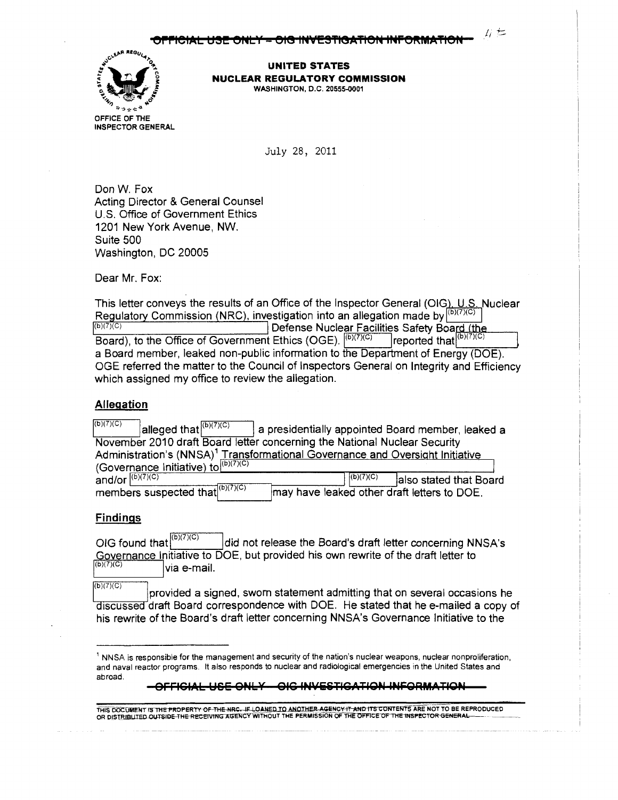$E \neq$ 



**UNITED STATES NUCLEAR REGULATORY COMMISSION**  WASHINGTON, D.C. 20555-0001

July 28, 2011

Don W. Fox Acting Director & General Counsel U.S. Office of Government Ethics 1201 New York Avenue, NW. Suite 500 Washington, DC 20005

Dear Mr. Fox:

This letter conveys the results of an Office of the Inspector General (OIG), U.S. Nuclear Regulatory Commission (NRC), investigation into an allegation made by (b)(7)(c) (b)(7)(c) Defense Nuclear Facilities Safety Board (the Board), to the Office of Government Ethics (OGE).  $|^{(b)(7)(C)}$  | reported that  $|^{(b)(7)(C)}$ a Board member, leaked non-public information to the Department of Energy (DOE). OGE referred the matter to the Council of Inspectors General on Integrity and Efficiency which assigned my office to review the allegation.

#### **Allegation**

| (b)(7)(C)          | alleged that $(b)(7)(C)$             |  |           | a presidentially appointed Board member, leaked a                                         |
|--------------------|--------------------------------------|--|-----------|-------------------------------------------------------------------------------------------|
|                    |                                      |  |           | November 2010 draft Board letter concerning the National Nuclear Security                 |
|                    |                                      |  |           | Administration's (NNSA) <sup>1</sup> Transformational Governance and Oversight Initiative |
|                    | (Governance Initiative) to (b)(7)(c) |  |           |                                                                                           |
| and/or $(6)(7)(C)$ |                                      |  | (6)(7)(C) | also stated that Board                                                                    |
|                    | members suspected that (b)(7)(c)     |  |           | may have leaked other draft letters to DOE.                                               |

#### **Findings**

OIG found that  $\int_0^{\infty}$  ...  $\int$  did not release the Board's draft letter concerning NNSA's Governance Initiative to DOE, but provided his own rewrite of the draft letter to via e-mail.

 $(b)(7)(C)$ 

provided a signed, sworn statement admitting that on several occasions he discussed draft Board correspondence with DOE. He stated that he e-mailed a copy of his rewrite of the Board's draft letter concerning NNSA's Governance Initiative to the

**OFFl€1AL USE** O~•bY **01€** 1~4ViSTl€ATIQ•I **l•lf:QRMATIO•I** 

<sup>1</sup>NNSA is responsible for the management and security of the nation's nuclear weapons, nuclear nonproliferation, and naval reactor programs. It also responds to nuclear and radiological emergencies in the United States and abroad.

THIS DOCUMENT IS THE PROPERTY OF THE NRC. IF LOANED TO ANOTHER AGENC<del>Y IT A</del>ND ITS CONTENTS ARE NOT TO BE REPRODUCED OR DISTRIBUTED OF THE PROPERTY OF THE NRC. IF LOANED TO ANOTHER AGENCY IT AND ITS CONTENTS ARE NOT TO BE REPRODUCED<br>OR DISTRIBUTED OUTSIDE THE RECEIVING AGENCY WITHOUT THE PERMISSION OF THE OFFICE OF THE INSPECTOR GENERAL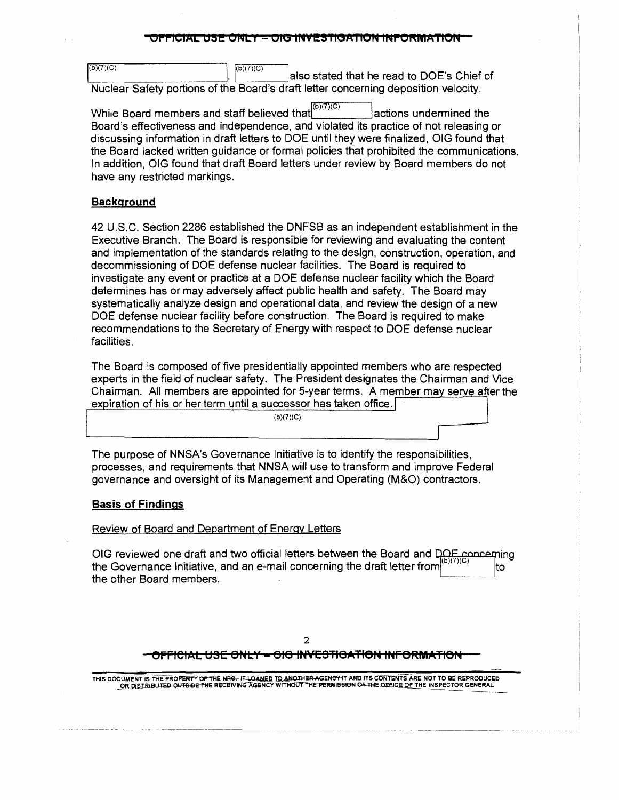#### PICIAL USE ONLY <del>– OIG INVESTIGATION INFORMATION</del>

 $(b)(7)(C)$ (b)(7)(C)  $\qquad \qquad$  |  $\qquad \qquad$  |  $\qquad \qquad$  |  $\qquad \qquad$  |  $\qquad \qquad$  |  $\qquad \qquad$  |  $\qquad \qquad$  |  $\qquad \qquad$  |  $\qquad \qquad$  |  $\qquad \qquad$  |  $\qquad \qquad$  |  $\qquad \qquad$  |  $\qquad \qquad$  |  $\qquad \qquad$  |  $\qquad \qquad$  |  $\qquad \qquad$  |  $\qquad \qquad$  |  $\qquad \qquad$  |  $\qquad \qquad$  |  $\$  $\overline{\text{a}}$ <sup>(b)(7)(C)</sup> also stated that he read to DOE's Chief of Nuclear Safety portions of the Board's draft letter concerning deposition velocity.

While Board members and staff believed that  $\left| \frac{(\mathbf{b})(7)(\mathbf{C})}{(\mathbf{C})}\right|$  actions undermined the Board's effectiveness and independence, and violated its practice of not releasing or discussing information in draft letters to DOE until they were finalized, OIG found that the Board lacked written guidance or formal policies that prohibited the communications. In addition, OIG found that draft Board letters under review by Board members do not have any restricted markings.

#### **Background**

42 U.S.C. Section 2286 established the DNFSB as an independent establishment in the Executive Branch. The Board is responsible for reviewing and evaluating the content and implementation of the standards relating to the design, construction, operation, and decommissioning of DOE defense nuclear facilities. The Board is required to investigate any event or practice at a DOE defense nuclear facility which the Board determines has or may adversely affect public health and safety. The Board may systematically analyze design and operational data, and review the design of a new DOE defense nuclear facility before construction. The Board is required to make recommendations to the Secretary of Energy with respect to DOE defense nuclear facilities.

The Board is composed of five presidentially appointed members who are respected experts in the field of nuclear safety. The President designates the Chairman and Vice Chairman. All members are appointed for 5-year terms. A member may serve after the expiration of his or her term until a successor has taken office.

 $(b)(7)(C)$ 

The purpose of NNSA's Governance Initiative is to identify the responsibilities, processes, and requirements that NNSA will use to transform and improve Federal governance and oversight of its Management and Operating (M&O) contractors.

#### **Basis of Findings**

#### Review of Board and Department of Energy Letters

OIG reviewed one draft and two official letters between the Board and DOE concerning the Governance Initiative, and an e-mail concerning the draft letter from lto the other Board members.

# 2 **eFFlelAL UBE eNLY = e1e IP4¥E3Tl8ATl8P4 INFeRMATleN**

THIS DOCUMENT IS THE PROPERTY O<del>F THE NRC. IF LOANED TO ANOTHER AGENCY IT AND</del> ITS CONTENTS ARE NOT TO BE REPRODUCED<br>OR DISTRIBUTED <del>OUTSIBE THE RECEIVING AGENCY WITHOUT THE PERMISSION OF THE DEFICE OF THE INSPECTOR GENERA</del>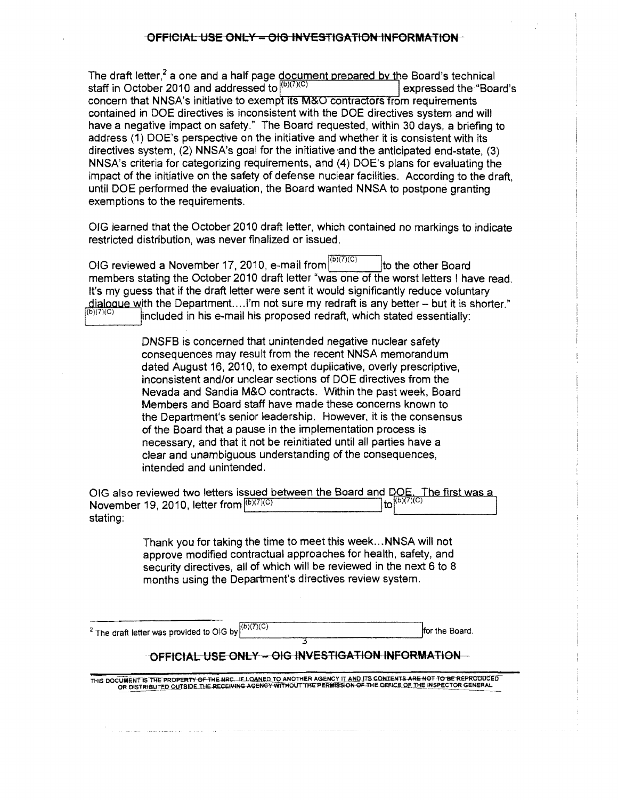The draft letter,<sup>2</sup> a one and a half page document prepared by the Board's technical staff in October 2010 and addressed to  $(16)(7)(C)$ expressed the "Board's" concern that NNSA's initiative to exempt its M&O contractors from requirements contained in DOE directives is inconsistent with the DOE directives system and will have a negative impact on safety." The Board requested, within 30 days, a briefing to address (1) DOE's perspective on the initiative and whether it is consistent with its directives system, (2) NNSA's goal for the initiative and the anticipated end-state, (3) NNSA's criteria for categorizing requirements, and (4) DOE's plans for evaluating the impact of the initiative on the safety of defense nuclear facilities. According to the draft, until DOE performed the evaluation, the Board wanted NNSA to postpone granting exemptions to the requirements.

OIG learned that the October 2010 draft letter, which contained no markings to indicate restricted distribution, was never finalized or issued.

OIG reviewed a November 17, 2010, e-mail from  $\vert v_{\alpha} \rangle$  Ito the other Board members stating the October 2010 draft letter "was one of the worst letters ! have read. It's my guess that if the draft letter were sent it would significantly reduce voluntary dialogue with the Department.... I'm not sure my redraft is any better  $-$  but it is shorter." included in his e-mail his proposed redraft, which stated essentially:

> DNSFB is concerned that unintended negative nuclear safety consequences may result from the recent NNSA memorandum dated August 16, 2010, to exempt duplicative, overly prescriptive, inconsistent and/or unclear sections of DOE directives from the Nevada and Sandia M&O contracts. Within the past week, Board Members and Board staff have made these concerns known to the Department's senior leadership. However, it is the consensus of the Board that a pause in the implementation process is necessary, and that it not be reinitiated until all parties have a clear and unambiguous understanding of the consequences, intended and unintended.

OIG also reviewed two letters issued between the Board and DOE. The first was a November 19, 2010, letter from  $\frac{(b)(7)(C)}{(D)(7)(D)}$  to  $\left|\frac{(b)(7)(C)}{(D)(7)(D)}\right|$  $(b)(7)(C)$ 

> Thank you for taking the time to meet this week ... NNSA will not approve modified contractual approaches for health, safety, and security directives, all of which will be reviewed in the next 6 to 8 months using the Department's directives review system.

 $(b)(7)(C)$ <sup>2</sup> The draft letter was provided to OIG by  $\vert^{(C_1, C_1, C_2)}$  for the Board.

# 3 OFFICIAL USE ONLY - OIG INVESTIGATION INFORMATION

THIS DOCUMENT IS THE PROPERTY OF THE NRC. IF LOANED TO ANOTHER AGENCY IT AND ITS CONTENTS ARE NOT TO BE REPRODUCED OR DISTRIBUTED OUTSIDE THE RECEIVING AGENCY WITHOUT THE PERMISSION OF THE OFFICE OF THE INSPECTOR GENERAL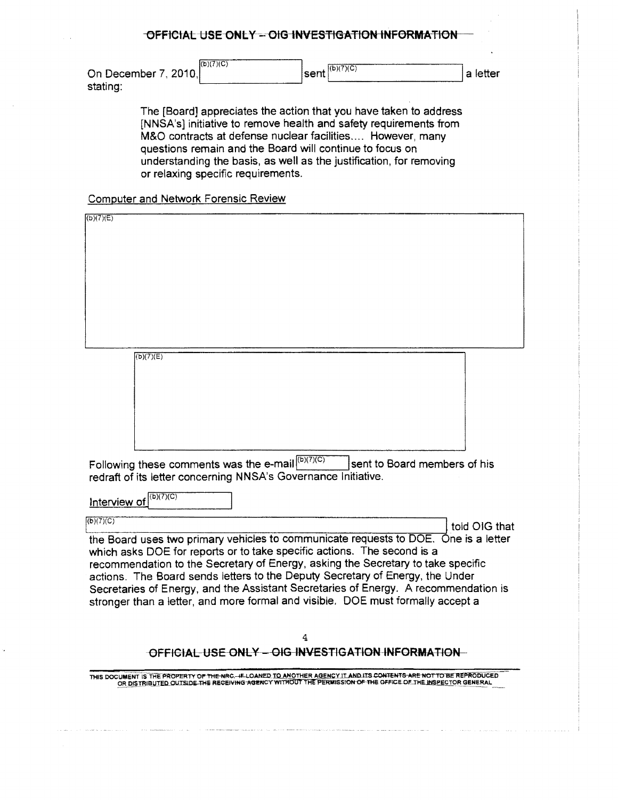| On December 7, 2010, | $($ b $)(7)(C)$ | $I$ sent $\binom{(b)(7)(C)}{C}$ | a letter |
|----------------------|-----------------|---------------------------------|----------|
| stating:             |                 |                                 |          |

The [Board] appreciates the action that you have taken to address [NNSA's] initiative to remove health and safety requirements from M&O contracts at defense nuclear facilities.... However, many questions remain and the Board will continue to focus on understanding the basis, as well as the justification, for removing or relaxing specific requirements.

# Computer and Network Forensic Review

| (b)(7)(E)                                                                                                                                                                                                                                                 |
|-----------------------------------------------------------------------------------------------------------------------------------------------------------------------------------------------------------------------------------------------------------|
|                                                                                                                                                                                                                                                           |
|                                                                                                                                                                                                                                                           |
|                                                                                                                                                                                                                                                           |
|                                                                                                                                                                                                                                                           |
|                                                                                                                                                                                                                                                           |
|                                                                                                                                                                                                                                                           |
|                                                                                                                                                                                                                                                           |
|                                                                                                                                                                                                                                                           |
|                                                                                                                                                                                                                                                           |
|                                                                                                                                                                                                                                                           |
|                                                                                                                                                                                                                                                           |
| (b)(7)(E)                                                                                                                                                                                                                                                 |
|                                                                                                                                                                                                                                                           |
|                                                                                                                                                                                                                                                           |
|                                                                                                                                                                                                                                                           |
|                                                                                                                                                                                                                                                           |
|                                                                                                                                                                                                                                                           |
|                                                                                                                                                                                                                                                           |
|                                                                                                                                                                                                                                                           |
| sent to Board members of his                                                                                                                                                                                                                              |
| Following these comments was the e-mail $\sqrt{\frac{(b)(7)(C)}{C}}$                                                                                                                                                                                      |
| redraft of its letter concerning NNSA's Governance Initiative.                                                                                                                                                                                            |
| (b)(7)(C)                                                                                                                                                                                                                                                 |
| Interview of                                                                                                                                                                                                                                              |
| (b)(7)(C)                                                                                                                                                                                                                                                 |
| told OIG that                                                                                                                                                                                                                                             |
| the Board uses two primary vehicles to communicate requests to DOE. One is a letter                                                                                                                                                                       |
| which asks DOE for reports or to take specific actions. The second is a                                                                                                                                                                                   |
| recommendation to the Secretary of Energy, asking the Secretary to take specific                                                                                                                                                                          |
| actions. The Board sends letters to the Deputy Secretary of Energy, the Under                                                                                                                                                                             |
| Secretaries of Energy, and the Assistant Secretaries of Energy. A recommendation is                                                                                                                                                                       |
| stronger than a letter, and more formal and visible. DOE must formally accept a                                                                                                                                                                           |
|                                                                                                                                                                                                                                                           |
|                                                                                                                                                                                                                                                           |
| 4                                                                                                                                                                                                                                                         |
| OFFICIAL USE ONLY - OIG INVESTIGATION INFORMATION-                                                                                                                                                                                                        |
|                                                                                                                                                                                                                                                           |
| THIS DOCUMENT IS THE PROPERTY OF TH <del>E NRC. IF LOANED TO ANOTHER AGENC</del> Y IT AND ITS CONTENT <del>S ARE NOT TO BE REPRODUCE</del> D<br>OR DISTRIBUTED OUTSIDE THE RECEIVING AGENCY WITHOUT THE PERMISSION OF THE OFFICE OF THE INSPECTOR GENERAL |
|                                                                                                                                                                                                                                                           |
|                                                                                                                                                                                                                                                           |
|                                                                                                                                                                                                                                                           |
|                                                                                                                                                                                                                                                           |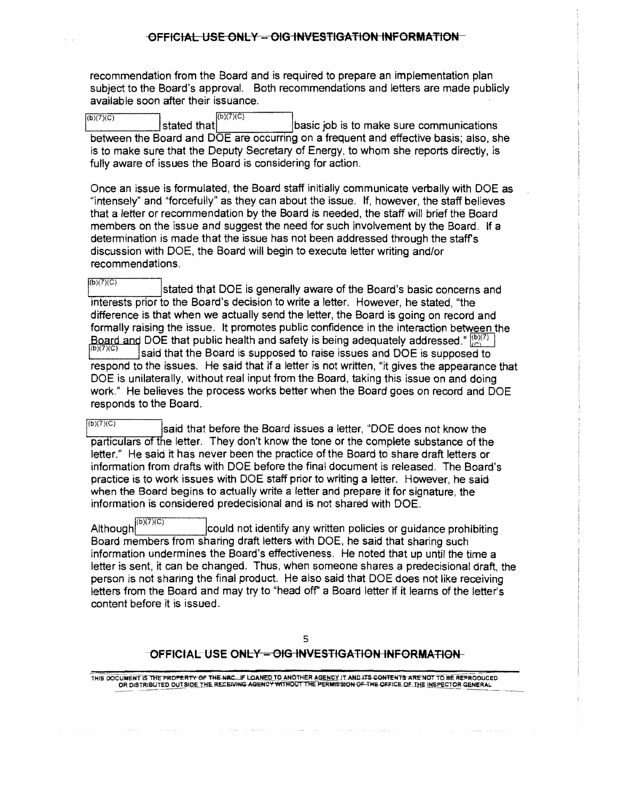recommendation from the Board and is required to prepare an implementation plan subject to the Board's approval. Both recommendations and letters are made publicly available soon after their issuance.

 $Ib171C1$  $\overline{(\text{b})(7)(\text{c})}$  stated that  $(\text{b})(7)(\text{c})$  basic job is to make sure communications between the Board and DOE are occurring on a frequent and effective basis; also, she is to make sure that the Deputy Secretary of Energy, to whom she reports directly, is fully aware of issues the Board is considering for action.

Once an issue is formulated, the Board staff initially communicate verbally with DOE as "intensely" and "forcefully" as they can about the issue. If, however, the staff believes that a letter or recommendation by the Board is needed, the staff will brief the Board members on the issue and suggest the need for such involvement by the Board. If a detennination is made that the issue has not been addressed through the staffs discussion with DOE, the Board will begin to execute letter writing and/or recommendations.

 $\overline{\text{B}(B)(7)(C)}$  stated that DOE is generally aware of the Board's basic concerns and interests prior to the Board's decision to write a letter. However, he stated, "the difference is that when we actually send the letter, the Board is going on record and formally raising the issue. It promotes public confidence in the interaction between the Board and DOE that public health and safety is being adequately addressed."  $\binom{[b)(7)}{[c]}$ said that the Board is supposed to raise issues and DOE is supposed to respond to the issues. He said that if a letter is not written, "it gives the appearance that DOE is unilaterally, without real input from the Board, taking this issue on and doing work." He believes the process works better when the Board goes on record and DOE responds to the Board.

 $\frac{1}{(b)(7)(C)}$  said that before the Board issues a letter, "DOE does not know the particulars of the letter. They don't know the tone or the complete substance of the letter." He said it has never been the practice of the Board to share draft letters or information from drafts with DOE before the final document is released. The Board's practice is to work issues with DOE staff prior to writing a letter. However, he said when the Board begins to actually write a letter and prepare it for signature, the information is considered predecisional and is not shared with DOE.

Although<sup>[b<sub>1</sub>(b)</sup> could not identify any written policies or guidance prohibiting Board members from sharing draft letters with DOE, he said that sharing such information undermines the Board's effectiveness. He noted that up until the time a letter is sent, it can be changed. Thus, when someone shares a predecisional draft, the person ls not sharing the final product. He also said that DOE does not like receiving letters from the Board and may try to "head off" a Board letter if it learns of the letter's content before it is issued.

#### -OFFICIAL-USE ONLY - OIG INVESTIGATION INFORMATION-

THIS DOCUMENT IS THE PROPERTY OF THE NRC...IF LOANED TO ANOTHER AGENCY IT AND ITS CONTENTS ARE NOT TO BE REPRODUCED<br>OR DISTRIBUTED OUTSIDE THE RECEIVING AGENCY WITHOUT THE PERMISSION OF THE OFFICE OF THE INSPECTOR GENERAL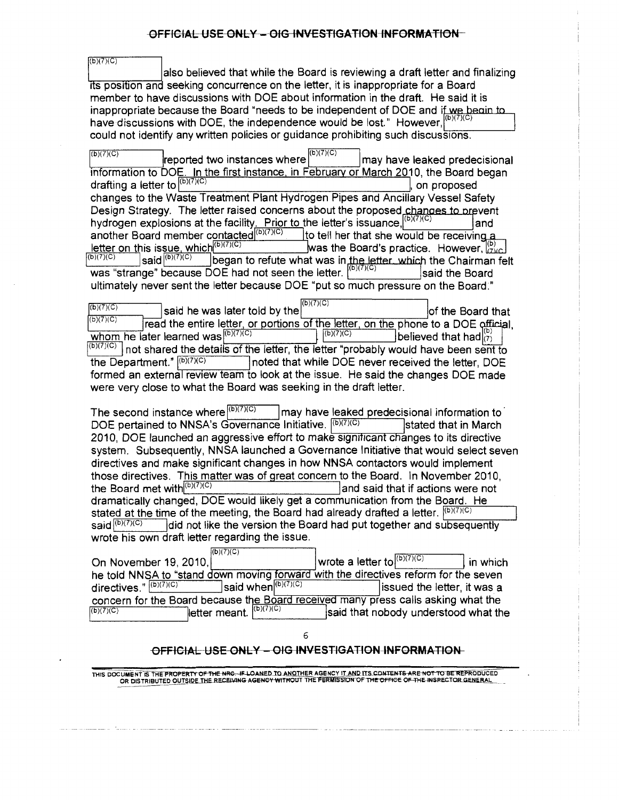$(6)(7)(C)$ also believed that while the Board is reviewing a draft letter and finalizing its position and seeking concurrence on the letter, it is inappropriate for a Board member to have discussions with DOE about information in the draft. He said it is inappropriate because the Board "needs to be independent of DOE and if we begin to have discussions with DOE, the independence would be lost." However, $[00]$ could not identify any written policies or guidance prohibiting such discussions.

 $\sqrt{\frac{(b)(7)(C)}{(D)(7)(C)}}$  ineported two instances where  $\sqrt{\frac{(b)(7)(C)}{(D)(7)(C)}}$  may have leaked predecisional information to DOE. In the first instance. in February or March 2010, the Board began drafting a letter to  $\vert^{(b)(7)(C)}$  and proposed changes to the Waste Treatment Plant Hydrogen Pipes and Ancillary Vessel Safety Design Strategy. The letter raised concerns about the proposed changes to prevent hydrogen explosions at the facility<u>. Prior to t</u>he letter's issuance,  $\vert^{\omega,(c,\infty)}$  land another Board member contacted (b)(C) to tell her that she would be receiving a letter on this issue, which< )(?)(C) as the Board's practice. However,~ began to refute what was in the letter which the Chairman felt was "strange" because DOE had not seen the letter. [b)(7)(C) | said the Board ultimately never sent the letter because DOE "put so much pressure on the Board:"

 $\frac{\sqrt{(b)(7)(C)}}{(b)(7)(C)}$  said he was later told by the  $\frac{(b)(7)(C)}{(D)(7)(C)}$  of the Board that read the entire letter, or portions of the letter, on the phone to a DOE official,<br>ater learned was  $\frac{[(b)(7)(C)]}{[(b)(7)(C)}$ whom he later learned was  $\frac{[b]^{(7)}(C)}{[c]^{(7)}(C)}$  is believed that had  $\begin{bmatrix} 1 \ (b) \ (7) \ (8) \end{bmatrix}$  $\frac{(\mathbf{b})(7)(C)}{\mathbf{b}}$  not shared the details of the letter, the letter "probably would have been sent to the Department."  $\frac{(\mathbf{b})(7)(C)}{D}$  noted that while DOE never received the letter. DOE noted that while DOE never received the letter, DOE formed an external review team to look at the issue. He said the changes DOE made were very close to what the Board was seeking in the draft letter.

The second instance where  $\binom{(b)(7)(C)}{C}$  | may have leaked predecisional information to DOE pertained to NNSA's Governance Initiative.  $\sqrt{\frac{(b)}{r}}$  stated that in March 2010, DOE launched an aggressive effort to make significant changes to its directive system. Subsequently, NNSA launched a Governance Initiative that would select seven directives and make significant changes in how NNSA contactors would implement those directives. This matter was of great concern to the Board. In November 2010, the Board met with $\frac{f(b)(7)(C)}{D}$  and said that if actions were not dramatically changed, DOE would likely get a communication from the Board. He stated at the time of the meeting, the Board had already drafted a letter.  $\frac{1(b)(7)(C)}{2}$  said  $\frac{1}{10}(b)(7)(C)$  did not like the version the Board had put together and subsequently did not like the version the Board had put together and subsequently wrote his own draft letter regarding the issue.

|                                                                                     | (16)(7)(C)                                        |                                  |                                      |          |
|-------------------------------------------------------------------------------------|---------------------------------------------------|----------------------------------|--------------------------------------|----------|
| On November 19, 2010,                                                               |                                                   | I wrote a letter to $(16)(7)(C)$ |                                      | in which |
| he told NNSA to "stand down moving forward with the directives reform for the seven |                                                   |                                  |                                      |          |
| directives." $(b)(7)(C)$                                                            | said when $(b)(7)(C)$                             |                                  | issued the letter, it was a          |          |
| concern for the Board because the Board received many press calls asking what the   |                                                   |                                  |                                      |          |
| (b)(7)(C)                                                                           | $\Box$ letter meant. $\sqrt{\frac{(b)(7)(C)}{c}}$ |                                  | said that nobody understood what the |          |

# 6 OFFICIAL USE ONLY - OIG INVESTIGATION-INFORMATION-

THIS DOCUMENT IS THE PROPERTY OF THE NRG. IF LOANED TO ANOTHER AGENCY IT AND ITS CONTENTS ARE NOT TO BE REPRODUCED<br>OR DISTRIBUTED OUTSIDE THE RECEIVING AGENCY WITHOUT THE PERMISSION OF THE OFFICE OF THE INSPECTOR GENERAL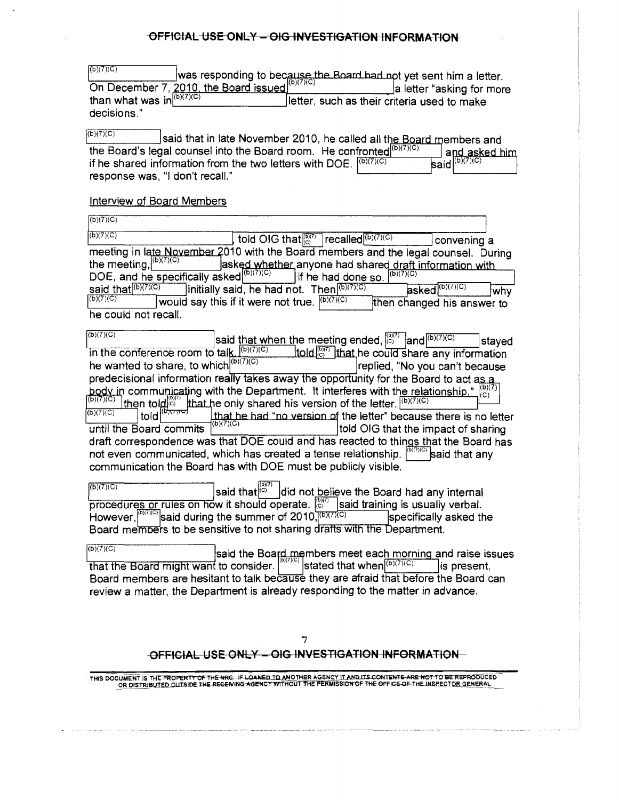| (b)(7)(C)                    | $\frac{ \mathcal{C} ^{(1)} \wedge  \mathcal{C} }{\text{On December 7, 2010, the Board issued (b)(7)(C)}}$ a letter asking for more |
|------------------------------|------------------------------------------------------------------------------------------------------------------------------------|
|                              | a letter "asking for more                                                                                                          |
| than what was in $(b)(7)(C)$ | letter, such as their criteria used to make                                                                                        |
| decisions."                  |                                                                                                                                    |

| (b)(7)(C)<br>said that in late November 2010, he called all the Board members and            |                                                           |
|----------------------------------------------------------------------------------------------|-----------------------------------------------------------|
| the Board's legal counsel into the Board room. He confronted $\left  \frac{1}{b}\right ^{2}$ | and asked him                                             |
| if he shared information from the two letters with DOE. $(6)(7)(C)$                          | $\overline{\mathsf{Isaid}}^{(\mathsf{b})(7)(\mathsf{C})}$ |
| response was, "I don't recall."                                                              |                                                           |

#### Interview of Board Members

| (b)(7)(C)                                                                          |                                                                    |                             |
|------------------------------------------------------------------------------------|--------------------------------------------------------------------|-----------------------------|
| (b)(7)(C)                                                                          | told OIG that $\binom{[5]}{[C]}$ recalled $\binom{(b)(7)(C)}{[C]}$ | convening a                 |
| meeting in late November 2010 with the Board members and the legal counsel. During |                                                                    |                             |
| the meeting, $\left  \frac{(b)(7)(\overline{C})}{(b)(7)(\overline{C})} \right $    | asked whether anyone had shared draft information with             |                             |
| DOE, and he specifically asked $(6)(7)(\overline{C})$                              | If he had done so. $\vert^{(b)(\overline{7})(C)}\vert$             |                             |
| said that $(b)(7)(C)$                                                              | initially said, he had not. Then $(6)(7)(C)$                       | $asked^{(b)(7)(C)}$<br>lwhv |
| (6)(7)(C)                                                                          | would say this if it were not true. $\sqrt{\frac{(b)(7)(C)}{C}}$   | then changed his answer to  |
| he could not recall.                                                               |                                                                    |                             |

 $\frac{(\mathbf{b})(7)(\mathbf{C})}{(\mathbf{b})(7)(\mathbf{C})}$  said that when the meeting ended,  $\frac{(\mathbf{b})(7)(\mathbf{C})}{(\mathbf{C})}$  and  $\frac{(\mathbf{b})(7)(\mathbf{C})}{(\mathbf{D})(7)(\mathbf{C})}$  stayed to the conference room to talk  $\frac{(\mathbf{b})(7)(\mathbf{C})}{(\mathbf{b})(7)(\mathbf{C})}$  that he c in the conference room to talk  $\frac{(b)(7)(C)}{(c)(7)(C)}$  told  $\frac{(c)}{(C)}$  that he could share any information he wanted to share, to which  $\left| \frac{(b)(7)(C)}{(c)(7)(C)} \right|$  replied, "No you can't because he wanted to share, to which $\mathsf{C}^{[O](\ell)}$  replied, "No you can't because predecisional information really takes away the opportunity for the Board to act body in communicating with the Department. It interferes with the relationship."  ${}^{\text{(D)}\text{(C)}}$  $\frac{(\mathsf{b})(7)(\mathsf{C})}{(\mathsf{b})(7)(\mathsf{C})}$  then told  $\mathsf{b}^{(\mathsf{b})(7)}$  that he only shared his version of the letter.  $\mathsf{b}^{(\mathsf{b})(7)(\mathsf{C})}$  told  $\mathsf{b}^{(\mathsf{b})(7)(\mathsf{C})}$  told  $\mathsf{b}^{(\mathsf{b})(7)(\mathsf{C})}$  that he had "no version o that he had "no version of the letter" because there is no letter until the Board commits.  $\vert^{(\alpha/1)(\alpha)}\vert$  told OIG that the impact of sharing draft correspondence was that DOE could and has reacted to things that the Board has not even communicated, which has created a tense relationship.  $\left|\frac{60700}{60}\right|$  said that any not even communicated, which has created a tense relationship.  $|$ communication the Board has with DOE must be publicly visible.

 $|$ said that $|$ õ $\degree$ did not believe the Board had any internal  $\overline{p}$  procedures or rules on how it should operate.  $\overline{p}$  said training is usually verbal. However,  $\frac{\left(\frac{b}{2}\right)^{1/2}}{2}$  said during the summer of 2010,  $\frac{1}{2}$  (b)  $\frac{1}{2}$  specifically asked the  $(b)(7)(C)$ Board members to be sensitive to not sharing drafts with the Department.

 $(D)(7)(C)$ said the Board members meet each morning and raise issues  $\frac{1}{100(7)(6)}$ that the Board might want to consider. stated that when  $(6)(7)(C)$  is present, Board members are hesitant to talk because they are afraid that before the Board can review a matter, the Department is already responding to the matter in advance.

# OFFICIAL USE ONLY - OIG INVESTIGATION INFORMATION-

THIS DOCUMENT IS THE PROPERTY OF THE NRG. IF LOANED <u>TO ANOTHER AGENCY IT AND ITS CONTENTS ARE NOT TO BE REPRODUCED</u><br>- OR DISTRIBUTED OUTSIDE THE RECEIVING AGENCY WITHOUT THE PERMISSION OF THE OFFICE OF THE INSPECTOR GENER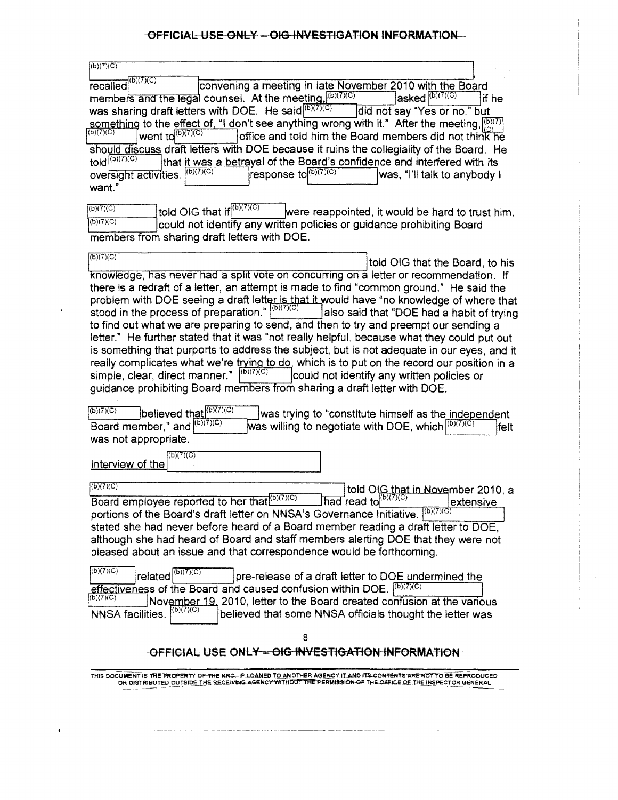| (D)(7)(C)                        |                                                                                                         |        |
|----------------------------------|---------------------------------------------------------------------------------------------------------|--------|
| (b)(7)(C)<br>recalled            | convening a meeting in late November 2010 with the Board                                                |        |
|                                  | members and the legal counsel. At the meeting, (b)(7)(c)<br>$\vert$ asked $\vert^{(b)(7)(C)}$           | lif he |
|                                  | was sharing draft letters with DOE. He said (6)(7)(C)<br>did not say "Yes or no," but                   |        |
|                                  | something to the effect of, "I don't see anything wrong with it." After the meeting, $\binom{[0]}{[C]}$ |        |
| (6)(7)(C)<br>went to $(b)(7)(C)$ | office and told him the Board members did not think he                                                  |        |
|                                  | should discuss draft letters with DOE because it ruins the collegiality of the Board. He                |        |
| told $\sqrt{(b)(7)(C)}$          | that it was a betrayal of the Board's confidence and interfered with its                                |        |
| oversight activities.            | (b)(7)(C)<br>response to $(b)(7)(C)$<br>was, "I'll talk to anybody i                                    |        |
| want."                           |                                                                                                         |        |

 $\frac{(\mathsf{b})\langle 7\rangle(\mathsf{C})}{(\mathsf{b})\langle 7\rangle(\mathsf{C})}$  told OIG that if  $\frac{(\mathsf{b})\langle 7\rangle(\mathsf{C})}{(\mathsf{b})\langle 7\rangle(\mathsf{C})}$  were reappointed, it would be hard to trust him. could not identify any written policies or quidance prohibiting Board members from sharing draft letters with DOE.

 $(b)(7)(C)$ told OIG that the Board, to his knowledge, has never had a split vote on concurring on a letter or recommendation. If there is a redraft of a letter, an attempt is made to find "common ground." He said the problem with DOE seeing a draft letter is that it would have "no knowledge of where that stood in the process of preparation."  $\vert^{(b)(7)(C)}$  also said that "DOE had a habit of trying to find out what we are preparing to send, and then to try and preempt our sending a letter." He further stated that it was "not really helpful, because what they could put out is something that purports to address the subject, but is not adequate in our eyes, and it really complicates what we're trying to do, which is to put on the record our position in a simple, clear, direct manner."  $(6)(7)(C)$ could not identify any written policies or guidance prohibiting Board members from sharing a draft letter with DOE.

 $\sqrt{\frac{(b)(7)(C)}{D}}$  believed that  $\sqrt{\frac{(b)(7)(C)}{D}}$ Board member," and  $\binom{(b)(7)(C)}{C}$ was not appropriate. was trying to "constitute himself as the independent was willing to negotiate with DOE, which  $\vert^{(b)(7)(C)}$  felt

l (b)(7)(C) Interview of the

 $\sqrt{\frac{(b)(7)(C)}{C}}$  told O G that in November 2010, a Board employee reported to her that  $(b)(7)(C)$  had read to  $(b)(7)(C)$  extensive portions of the Board's draft letter on NNSA's Governance Initiative. (b)(7)(C) stated she had never before heard of a Board member reading a draft letter to DOE, although she had heard of Board and staff members alerting DOE that they were not pleased about an issue and that correspondence would be forthcoming.

 $\sqrt{\frac{(b)(7)(C)}{C}}$  related  $\sqrt{\frac{(b)(7)(C)}{C}}$  pre-release of a draft letter to DOE undermined the effectiveness of the Board and caused confusion within DOE.  $\sqrt{\frac{(D)(7)(C)}{C}}$  $\overline{f^{(b)(7)(C)}}$  November 19, 2010, letter to the Board created confusion at the various NNSA facilities.  $\binom{(D)C}{C}$  believed that some NNSA officials thought the letter was

8

# -OFFICIAL USE ONLY - OIG INVESTIGATION INFORMATION

THIS DOCUMENT IS THE PROPERTY OF THE NRC. ..IE.LOANED TO ANOTHER AGENCY IT AND ITS CONTENTS ARE NOT TO BE REPRODUCED<br>OR DISTRIBUTED OUTSIDE THE RECEIVING AGENCY WITHOUT THE PERMISSION OF THE OFFICE OF THE INSPECTOR GENERAL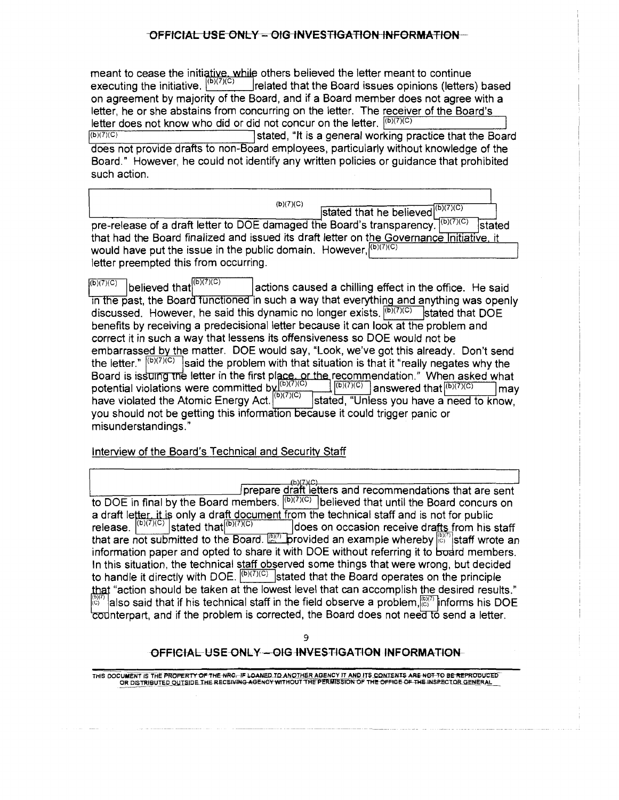meant to cease the initiative, while others believed the letter meant to continue executing the initiative.  $|{}^{(b)(7)(C)}|$  related that the Board issues opinions (letters) based on agreement by majority of the Board, and if a Board member does not agree with a letter, he or she abstains from concurring on the letter. The receiver of the Board's letter does not know who did or did not concur on the letter.  $\frac{[b)(7)(C)}{[b)(7)(C)}$ <br>stated. "It is a general working pro-

stated, "It is a general working practice that the Board does not provide drafts to non-Board employees, particularly without knowledge of the Board." However, he could not identify any written policies or guidance that prohibited such action.

 $\frac{(b)(7)(C)}{D}$  stated that he believed  $\frac{(b)(7)(C)}{(D)(7)(C)}$ <br>pre-release of a draft letter to DOE damaged the Board's transparency.  $\frac{(b)(7)(C)}{(D)(7)(C)}$  stated that had the Board finalized and issued its draft letter on the Governance Initiative. it would have put the issue in the public domain. However,  $(6)(7)(C)$ letter preempted this from occurring.

 $\overline{^{(6)(7)(C)}}$  believed that $\overline{^{(6)(7)(C)}}$  actions caused a chilling effect in the office. He said in the past, the Board functioned in such a way that everything and anything was openly discussed. However, he said this dynamic no longer exists.  $\sqrt{\frac{(b)(7)(C)}{C}}$  stated that DOE benefits by receiving a predecisional letter because it can look at the problem and correct it in such a way that lessens its offensiveness so DOE would not be embarrassed by the matter. DOE would say, "Look, we've got this already. Don't send the letter."  $|^{(b)(7)(C)}$  said the problem with that situation is that it "really negates why the Board is issuing the letter in the first place, or the recommendation." When asked what potential violations were committed by  $\frac{|\overline{[b]}(7)|C\rangle}{|\overline{[b]}(7)|C\rangle}$  answered that  $\frac{|\overline{[b]}(7)|C\rangle}{|\overline{[b]}(7)|C\rangle}$  may potential violations were committed by  $\frac{(\overline{b})(\overline{7})(\overline{C})}{(\overline{b})(\overline{7})(\overline{C})}$  answered that  $\frac{(\overline{b})(\overline{7})(\overline{C})}{(\overline{b})(\overline{7})(\overline{C})}$  may have violated the Atomic Energy Act. (b)(7)(C) stated, "Unless you have a need to know, you should not be getting this information because it could trigger panic or misunderstandings."

Interview of the Board's Technical and Security Staff

prepare draft letters and recommendations that are sent to DOE in final by the Board members.  $\sqrt{\frac{(b)(7)(C)}{C}}$  believed that until the Board concurs on a draft letter, it is only a draft document from the technical staff and is not for public<br>release.  $\left| \frac{(b)(7)(c)}{c}\right|$  stated that  $\left| \frac{(b)(7)(c)}{c}\right|$  does on occasion receive drafts from his does on occasion receive drafts from his staff that are not submitted to the Board.  $\mathbb{E}^{(n)}$  provided an example whereby  $\mathbb{E}^{(n)}$  staff wrote an information paper and opted to share it with DOE without referring it to board members. In this situation, the technical staff observed some things that were wrong, but decided to handle it directly with DOE.  $\sqrt{\frac{(b)(7)(C)}{C}}$  stated that the Board operates on the principle "action should be taken at the lowest level that can accomplish the desired results."  $\tilde{\text{c}}$ i $\tilde{\text{c}}$ also said that if his technical staff in the field observe a problem, $\binom{[0]}{[0]}$  informs his DOE  $\overline{\text{cod} }$  nterpart, and if the problem is corrected, the Board does not need to send a letter.

9

# OFFICIAL-USE-ONLY--OIG-INVESTIGATION INFORMATION

THIS DOCUMENT IS THE PROPERTY OF THE NRG.-IF LOANED TO AN<u>OTHER</u> AGENCY IT AND ITS CONTENTS ARE NOT TO BE REPRODUCED<br>OR DISTRIBUTED O<u>UTSIDE THE RECEIVING AGENCY WITHOUT THE PERMISSION OF THE OFFICE OF THE INSPECTOR GENERA</u>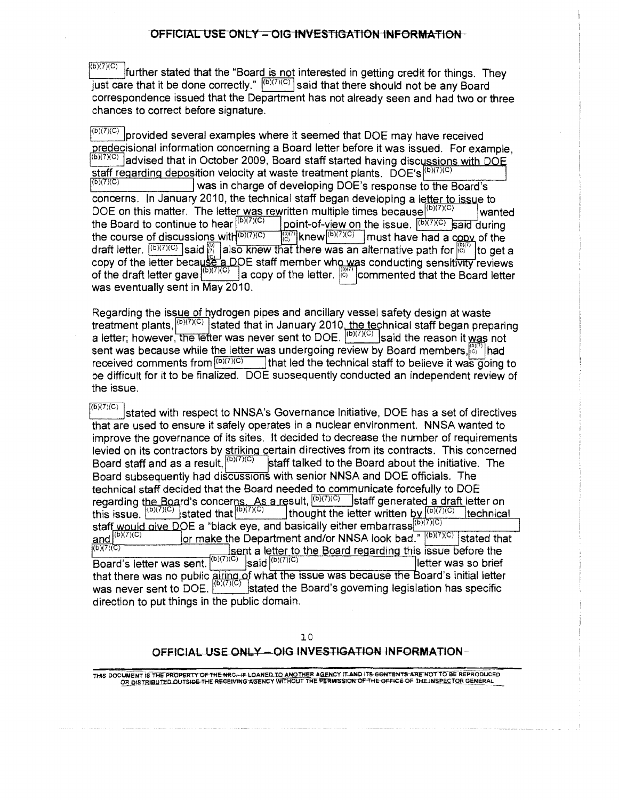further stated that the "Board is not interested in getting credit for things. They  $\frac{1}{\sqrt{2}}$  in the states that the Board  $\frac{1}{\sqrt{2}}$  said that there should not be any Board correspondence issued that the Department has not already seen and had two or three chances to correct before signature.

 $\sqrt{\binom{(b)(7)(C)}{C}}$  provided several examples where it seemed that DOE may have received redecisional information concerning a Board letter before it was issued. For example,  $\frac{(b)(7)(C)}{C}$  advised that in October 2009, Board staff started having discussions with DO staff regarding deposition velocity at waste treatment plants.  $\overline{DOE}$ 's $\vert^{(b)(7)(C)}$ was in charge of developing DOE's response to the Board's concerns. In January 2010, the technical staff began developing a letter to issue to DOE on this matter. The letter was rewritten multiple times because (b)(7)(c) the Board to continue to hear  $\frac{(b)(7)(C)}{(b)(7)(C)}$  point-of-view on the issue.  $\frac{(b)(7)(C)}{(b)(7)(C)}$ wanted the Board to continue to hear  $\frac{1}{(D)(7)(C)}$  of point-of-view on the issue.  $\frac{1}{(D)(7)(C)}$  said during the course of discussions with  $\frac{1}{(D)(7)(C)}$  and  $\frac{1}{(D)(7)(C)}$  and a copy of the draft letter.  $\frac{(\mathsf{b})(7)(C)}{\mathbb{C}}$  said  $\frac{(\mathsf{b})}{\mathbb{C}}$  also knew that there was an alternative path for  $\frac{(\mathsf{b})(7)}{\mathbb{C}}$  to get a copy of the letter beca<u>use a D</u>OE staff member wh<u>o w</u>as conducting sensiti<del>vity</del> reviews of the draft letter gave  $\left| \frac{(b)(7)(C)}{(D+1)(C)} \right|$  a copy of the letter.  $\left| \frac{(b)(7)}{(C+1)(C)} \right|$  commented that the Board letter was eventually sent in May 2010.

Regarding the issue of hydrogen pipes and ancillary vessel safety design at waste treatment plants, <sup>(b)(7)(c)</sup> stated that in January 2010, the technical staff began preparing a letter; however, the letter was never sent to DOE.  $\left| \right|^{(B)(I)(C)}$  said the reason it was not sent was because while the letter was undergoing review by Board members, $\binom{[0]}{G}$  had received comments from  $\binom{[0](7)(C)}{G}$  that led the technical staff to believe it was going That led the technical staff to believe it was going to be difficult for it to be finalized. DOE subsequently conducted an independent review of the issue.

 $\frac{\langle \mathbf{b} \rangle \langle \mathbf{b} \rangle \langle \mathbf{c} \rangle}{\mathbf{S}}$  stated with respect to NNSA's Governance Initiative, DOE has a set of directives that are used to ensure it safely operates in a nuclear environment. NNSA wanted to improve the governance of its sites. It decided to decrease the number of requirements levied on its contractors by striking certain directives from its contracts. This concerned Board staff and as a result,  $\frac{(\mathbf{b})(7)(\mathbf{C})}{(\mathbf{b})(7)(\mathbf{C})}$  staff talked to the Board about the initiative. The Board subsequently had discussions with senior NNSA and DOE officials. The technical staff decided that the Board needed to communicate forcefully to DOE regarding the Board's concerns. As a result,  $\frac{[(b)(7)(C)}{C}$  staff generated a draft letter on this issue.  $\frac{1}{(b)(7)(C)}$  stated that  $\frac{1}{(b)(7)(C)}$  thought the letter written by  $\frac{1}{(b)(7)(C)}$  technical staff would give DOE a "black eye, and basically either embarrass $\frac{(\mathbf{b})(7)(\mathbf{c})}{(\mathbf{c})(\mathbf{c})}$  or make the Department and/or NNSA look had "  $(\mathbf{b})(7)(\mathbf{c})$ and  $\frac{|\mathbf{b}\rangle(7)(C)}{|\mathbf{b}\rangle(7)(C)}$  or make the Department and/or NNSA look bad."  $\frac{|\mathbf{b}\rangle(7)(C)}{|\mathbf{b}\rangle(7)(C)}$  stated that  $|\mathbf{b}\rangle(7)(C)$ (sent a letter to the Board regarding this issue before the Board's letter was sent.  $\sqrt{\frac{(b)(7)(C)}{2}}$  said  $\sqrt{\frac{(b)(7)(C)}{2}}$ lletter was so brief that there was no public <u>airing o</u>f what the issue was because the Board's initial letter was never sent to DOE.  $\mathbb{C}^{\mathcal{O}(\mathcal{E}/\mathcal{E})}$  stated the Board's governing legislation has specific direction to put things in the public domain.

#### 10

#### OFFICIAL USE ONLY - OIG INVESTIGATION INFORMATION-

THIS DOCUMENT IS THE PROPERTY OF THE HRG-IF LOANED TO ANOTHER AGENCY IT AND ITS CONTENTS ARE NOT TO BE REPRODUCED<br>OR DISTRIBUTED OUTSIDE THE RECEIVING AGENCY WITHOUT THE PERMISSION OF THE OFFICE OF THE INSPECTOR GENERAL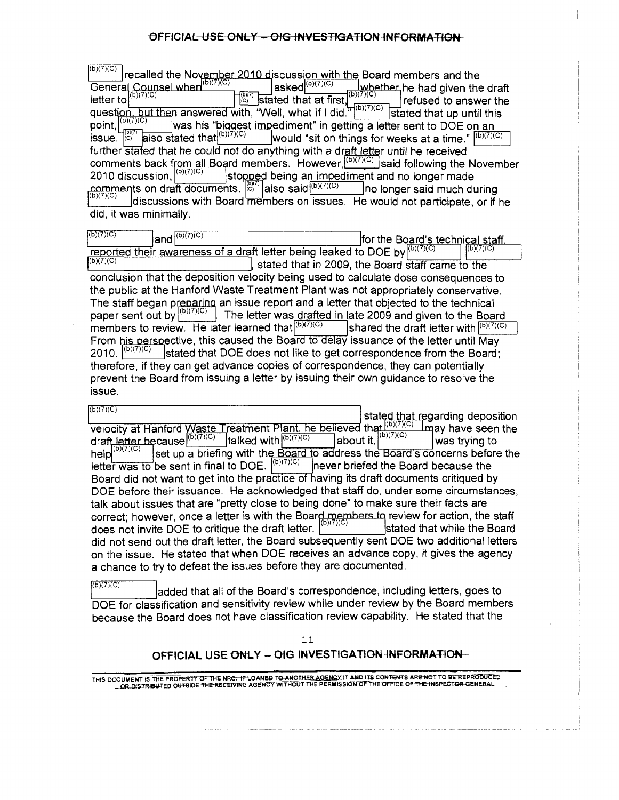$(D)(7)(C)$  $\frac{^{(D)(7)(C)}}{C}$  recalled the November 2010 discussion with the Board members and the General Counsel when  $\frac{(D)(7)(C)}{C}$  asked  $\frac{(D)(7)(C)}{C}$  whether he had given the General Counsel when  $\frac{|\text{D}(I')|}{|\text{D}(I')|}$  asked  $\frac{|\text{D}(I')|}{|\text{D}(I')|}$  is whether he had given the draft letter to  $\frac{|\text{D}(I')|}{|\text{D}(I')|}$  of the draft letter to  $\frac{|\text{D}(I')|}{|\text{D}(I')|}$ refused to answer the question, but then answered with, "Well, what if I did." $\vert^{(p)/(1)(C)}$  stated that up until this point, $\vert^{{\rm (b)}(7)}$ point,  $\begin{bmatrix} |^{(D)(I)(C)} \\ |^{(D)(I)(C)} \end{bmatrix}$  was his "biggest impediment" in getting a letter sent to DOE on an issue.  $\begin{bmatrix} |^{(D)(I)(C)} \\ |^{(D)(I)(C)} \end{bmatrix}$  would "sit on things for weeks at a time."  $\begin{bmatrix} |^{(D)(I)(C)} \\ |^{(D)(I)(C)} \end{$ would "sit on things for weeks at a time."  $\sqrt{\frac{(b)(7)(C)}{C}}$ further stated that he could not do anything with a draft letter until he received comments back from all Board members. However,  $\frac{(b)(7)(C)}{(b)(7)(C)}$  said following the November 2010 discussion,  $\left| \frac{(b)(7)(C)}{(c)} \right|$  stopped being an impediment and no longer made stopped being an impediment and no longer made comments on draft documents.  $\begin{bmatrix} 1 & -1 & -1 \\ 0 & -1 & 0 \\ 0 & -1 & 0 \end{bmatrix}$ also said  $\begin{bmatrix} 1 & 0 & -1 \\ 0 & 1 & 0 \end{bmatrix}$ no longer said much during discussions with Board members on issues. He would not participate, or if he did, it was minimally.

| (b)(7)(C)<br>(b)(7)(C)<br>land                                                                                                          | for the Board's technical staff.<br>(2)(7)(C)                                                                                                                                                                                                                                                                                                                                                                                                                                                                                                                 |
|-----------------------------------------------------------------------------------------------------------------------------------------|---------------------------------------------------------------------------------------------------------------------------------------------------------------------------------------------------------------------------------------------------------------------------------------------------------------------------------------------------------------------------------------------------------------------------------------------------------------------------------------------------------------------------------------------------------------|
| (b)(7)(C)                                                                                                                               | reported their awareness of a draft letter being leaked to DOE by (b)(7)(c)<br>stated that in 2009, the Board staff came to the                                                                                                                                                                                                                                                                                                                                                                                                                               |
|                                                                                                                                         | conclusion that the deposition velocity being used to calculate dose consequences to                                                                                                                                                                                                                                                                                                                                                                                                                                                                          |
|                                                                                                                                         | the public at the Hanford Waste Treatment Plant was not appropriately conservative.                                                                                                                                                                                                                                                                                                                                                                                                                                                                           |
| paper sent out by $(6)(7)(C)$<br>members to review. He later learned that $\left  \right ^{(b)(7)(C)}$<br> (b)(7)(C)<br>2010.<br>issue. | The staff began preparing an issue report and a letter that objected to the technical<br>The letter was drafted in late 2009 and given to the Board<br>shared the draft letter with $\sqrt{\frac{(b)(7)(C)}{C}}$<br>From his perspective, this caused the Board to delay issuance of the letter until May<br>stated that DOE does not like to get correspondence from the Board;<br>therefore, if they can get advance copies of correspondence, they can potentially<br>prevent the Board from issuing a letter by issuing their own guidance to resolve the |

 $(b)(7)(C)$ e<u>d that r</u>egarding deposition velocity at Hanford Waste Treatment Plant, he believed that  $\frac{P(X,Y|X|)}{(D)(T)(C)}$  imay have seen the  $\text{draff}$  letter because  $\frac{(b)(7)(C)}{(D)(7)(C)}$  talked with  $\frac{(b)(7)(C)}{(D)(7)(C)}$  about it.  $\left|\frac{(b)(7)(C)}{(D)(7)(C)}\right|$  was trying to help  $\vert{}^{(b)(7)(C)}\vert$  set up a briefing with the Board to address the Board's concerns before the letter was to be sent in final to DOE.  $\sqrt{\frac{(b)(7)(C)}{C}}$  never briefed the Board because the Board did not want to get into the practice of having its draft documents critiqued by DOE before their issuance. He acknowledged that staff do, under some circumstances, talk about issues that are "pretty close to being done" to make sure their facts are correct; however, once a letter is with the Board members to review for action, the staff does not invite DOE to critique the draft letter. [  $\frac{1}{2}$  [ stated that while the Board did not send out the draft letter, the Board subsequently sent DOE two additional letters on the issue. He stated that when DOE receives an advance copy, it gives the agency a chance to try to defeat the issues before they are documented.

 $\sqrt{\frac{(b)(7)(C)}{C}}$  added that all of the Board's correspondence, including letters, goes to DOE for classification and sensitivity review while under review by the Board members because the Board does not have classification review capability. He stated that the

11

# OFFICIAL-USE ONLY - OIG INVESTIGATION INFORMATION

THIS DOCUMENT IS THE PROPERTY OF THE NRC. <del>IF LOANED</del> TO ANO<u>THER AGENCY IT AND ITS CONTENTS ARE NOT TO BE REPRODUCED</u><br>\_\_OR\_DISTRIBUTED OUTSIDE THE RECEIVING AGENCY WITHOUT THE PERMISSION OF THE OFFICE OP THE INSPECTOR GEN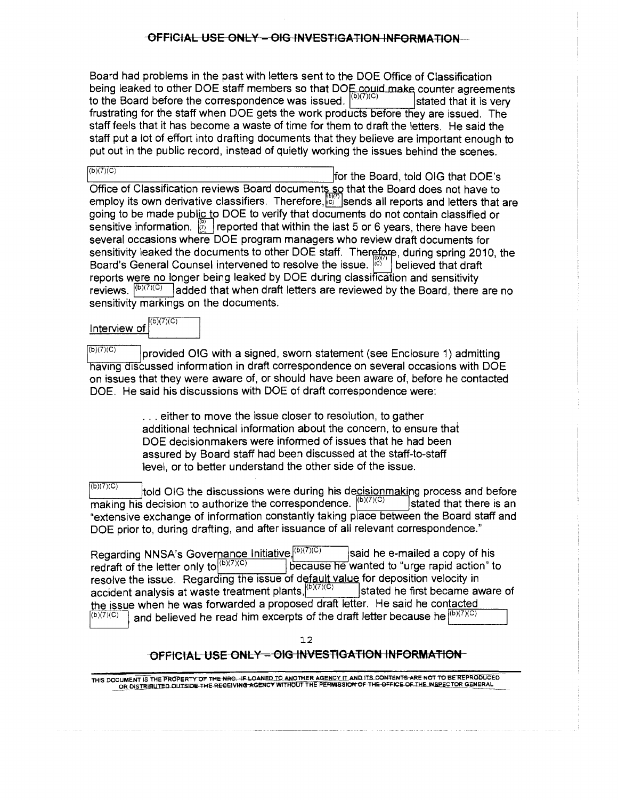Board had problems in the past with letters sent to the DOE Office of Classification being leaked to other DOE staff members so that DOE could make counter agreements to the Board before the correspondence was issued.  $\sqrt{\frac{(b)(7)(C)}{C}}$  stated that it is very frustrating for the staff when DOE gets the work products before they are issued. The staff feels that it has become a waste of time for them to draft the letters. He said the staff put a lot of effort into drafting documents that they believe are important enough to put out in the public record, instead of quietly working the issues behind the scenes.

 $\overline{f_{(b)(7)(C)}}$  for the Board, told OIG that DOE's Office of Classification reviews Board documents so that the Board does not have to employ its own derivative classifiers. Therefore,  $\mathbb{R}^{\mathbb{N}^{\prime\prime}}$  sends all reports and letters that are going to be made public to DOE to verify that documents do not contain classified or sensitive information.  $\mathbb{Z}$  reported that within the last 5 or 6 years, there have been several occasions where DOE program managers who review draft documents for sensitivity leaked the documents to other DOE staff. Therefore, during spring 2010, the Board's General Counsel intervened to resolve the issue.  $\left|\mathcal{E}\right|$  believed that draft reports were no longer being leaked by DOE during classification and sensitivity reviews.  $\sqrt{\frac{(b)(7)(C)}{C}}$  added that when draft letters are reviewed by the Board, there are no sensitivity markings on the documents.

l (b)(?)(C) Interview of

 $(b)(7)(C)$ provided OIG with a signed, sworn statement (see Enclosure 1) admitting having discussed information in draft correspondence on several occasions with DOE on issues that they were aware of, or should have been aware of, before he contacted DOE. He said his discussions with DOE of draft correspondence were:

> ... either to move the issue closer to resolution, to gather additional technical information about the concern, to ensure that DOE decisionmakers were informed of issues that he had been assured by Board staff had been discussed at the staff-to-staff level, or to better understand the other side of the issue.

 $\sqrt{\frac{(b)(7)(C)}{C}}$  told OIG the discussions were during his decisionmaking process and before making his decision to authorize the correspondence.  $\vert^{(b)(7)(C)}\vert$ Istated that there is an "extensive exchange of information constantly taking place between the Board staff and DOE prior to, during drafting, and after issuance of all relevant correspondence."

Regarding NNSA's Governance Initiative, (b)(7)(c) said he e-mailed a copy of his redraft of the letter only to  $\vert b\rangle$ <sup>(b)(7)(C)</sup>  $\vert b\rangle$  because he wanted to "urge rapid action" to resolve the issue. Regarding the issue of default value for deposition velocity in accident analysis at waste treatment plants,  $\frac{b}{r}$ (b)(7)(C) stated he first became aware of the issue when he was forwarded a proposed draft letter. He said he contacted<br> $\frac{f(b)(7)(C)}{(b)(7)(C)}$  and believed be read bim excernts of the draft letter because be  $\frac{f(b)(7)(C)}{(D)(7)(C)}$ and believed he read him excerpts of the draft letter because he  $\vert^{(b)(7)(C)}$ 

12

# OFFICIAL USE ONLY - OIG INVESTIGATION INFORMATION

THIS DOCUMENfiSTHE PROPER I y OF THE NRG. IF-LOANEOJQANOTHER AGEN~'(JLAN[llTS COllTENT-5-ARE'NOT TO BE REPROOUCED - \_Q~ Ol§.IBlmD\_QlilSIDli-+HE-REGEIVINC AGENC'Y WITHOUT THE PERMlSSlOltOF Tl IE OFFIC~N.5.P\_ECTOR GENERAL